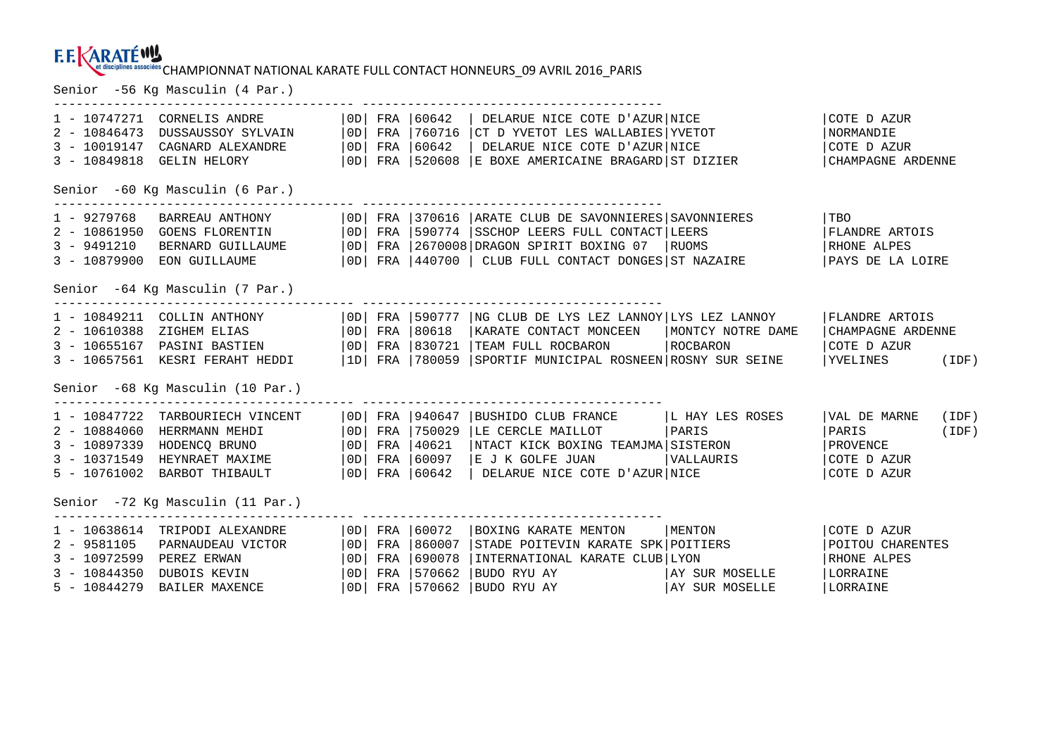## CHAMPIONNAT NATIONAL KARATE FULL CONTACT HONNEURS\_09 AVRIL 2016\_PARIS Senior -56 Kg Masculin (4 Par.)

| 1 - 10747271<br>$2 - 10846473$<br>$3 - 10019147$<br>$3 - 10849818$  | CORNELIS ANDRE<br>DUSSAUSSOY SYLVAIN<br>CAGNARD ALEXANDRE<br>GELIN HELORY                                                                                                                         | OD                                      |                   | $ 0D $ FRA $ 60642$                                                                     | OD   FRA   60642   DELARUE NICE COTE D'AZUR   NICE<br>$\vert$ OD $\vert$ FRA $\vert$ 760716 $\vert$ CT D YVETOT LES WALLABIES $\vert$ YVETOT<br>DELARUE NICE COTE D'AZUR NICE<br>FRA 520608 E BOXE AMERICAINE BRAGARD ST DIZIER |                                            | COTE D AZUR<br>NORMANDIE<br>COTE D AZUR<br>CHAMPAGNE ARDENNE           |                |  |  |
|---------------------------------------------------------------------|---------------------------------------------------------------------------------------------------------------------------------------------------------------------------------------------------|-----------------------------------------|-------------------|-----------------------------------------------------------------------------------------|---------------------------------------------------------------------------------------------------------------------------------------------------------------------------------------------------------------------------------|--------------------------------------------|------------------------------------------------------------------------|----------------|--|--|
| Senior -60 Kg Masculin (6 Par.)                                     |                                                                                                                                                                                                   |                                         |                   |                                                                                         |                                                                                                                                                                                                                                 |                                            |                                                                        |                |  |  |
| $1 - 9279768$<br>$3 - 9491210$                                      | BARREAU ANTHONY<br>2 - 10861950 GOENS FLORENTIN<br>BERNARD GUILLAUME<br>3 - 10879900 EON GUILLAUME                                                                                                | OD                                      |                   |                                                                                         | OD  FRA   370616   ARATE CLUB DE SAVONNIERES   SAVONNIERES<br>  0D   FRA   590774   SSCHOP LEERS FULL CONTACT   LEERS<br>OD FRA 2670008 DRAGON SPIRIT BOXING 07 RUOMS<br>FRA  440700   CLUB FULL CONTACT DONGES ST NAZAIRE      |                                            | TBO<br>FLANDRE ARTOIS<br>RHONE ALPES<br>PAYS DE LA LOIRE               |                |  |  |
| Senior -64 Kg Masculin (7 Par.)                                     |                                                                                                                                                                                                   |                                         |                   |                                                                                         |                                                                                                                                                                                                                                 |                                            |                                                                        |                |  |  |
|                                                                     | 1 - 10849211 COLLIN ANTHONY<br>2 - 10610388 ZIGHEM ELIAS<br>3 - 10655167 PASINI BASTIEN<br>3 - 10657561 KESRI FERAHT HEDDI<br>Senior -68 Kg Masculin (10 Par.)                                    | OD                                      |                   | FRA 180618<br>$ 0D $ FRA $ 830721$                                                      | $ 0D $ FRA $ 590777 $ NG CLUB DE LYS LEZ LANNOY LYS LEZ LANNOY<br>KARATE CONTACT MONCEEN<br>TEAM FULL ROCBARON<br> 1D  FRA  780059  SPORTIF MUNICIPAL ROSNEEN ROSNY SUR SEINE                                                   | MONTCY NOTRE DAME<br>ROCBARON              | FLANDRE ARTOIS<br>CHAMPAGNE ARDENNE<br>COTE D AZUR<br><b>YVELINES</b>  | (IDF)          |  |  |
|                                                                     | 1 - 10847722 TARBOURIECH VINCENT<br>2 - 10884060 HERRMANN MEHDI<br>3 - 10897339 HODENCQ BRUNO<br>3 - 10371549 HEYNRAET MAXIME<br>5 - 10761002 BARBOT THIBAULT<br>Senior -72 Kg Masculin (11 Par.) | OD                                      | FRA               | $ 0D $ FRA $ 940647$<br>OD FRA 750029<br>  OD   FRA   40621<br>60097<br> OD  FRA  60642 | BUSHIDO CLUB FRANCE   L HAY LES ROSES<br>LE CERCLE MAILLOT<br>NTACT KICK BOXING TEAMJMA SISTERON<br>E J K GOLFE JUAN<br>DELARUE NICE COTE D'AZUR NICE                                                                           | PARIS<br><i><b>NALLAURIS</b></i>           | VAL DE MARNE<br>PARIS<br>PROVENCE<br>COTE D AZUR<br>COTE D AZUR        | (IDF)<br>(IDF) |  |  |
| $2 - 9581105$<br>$3 - 10972599$<br>$3 - 10844350$<br>$5 - 10844279$ | 1 - 10638614 TRIPODI ALEXANDRE<br>PARNAUDEAU VICTOR<br>PEREZ ERWAN<br>DUBOIS KEVIN<br>BAILER MAXENCE                                                                                              | OD <br>  OD  <br>  OD  <br>  OD  <br>OD | FRA<br>FRA<br>FRA | FRA 160072<br>1860007<br>690078<br>570662<br>FRA 570662                                 | BOXING KARATE MENTON<br>STADE POITEVIN KARATE SPK POITIERS<br>INTERNATIONAL KARATE CLUB LYON<br>BUDO RYU AY<br>BUDO RYU AY                                                                                                      | MENTON<br>AY SUR MOSELLE<br>AY SUR MOSELLE | COTE D AZUR<br>POITOU CHARENTES<br>RHONE ALPES<br>LORRAINE<br>LORRAINE |                |  |  |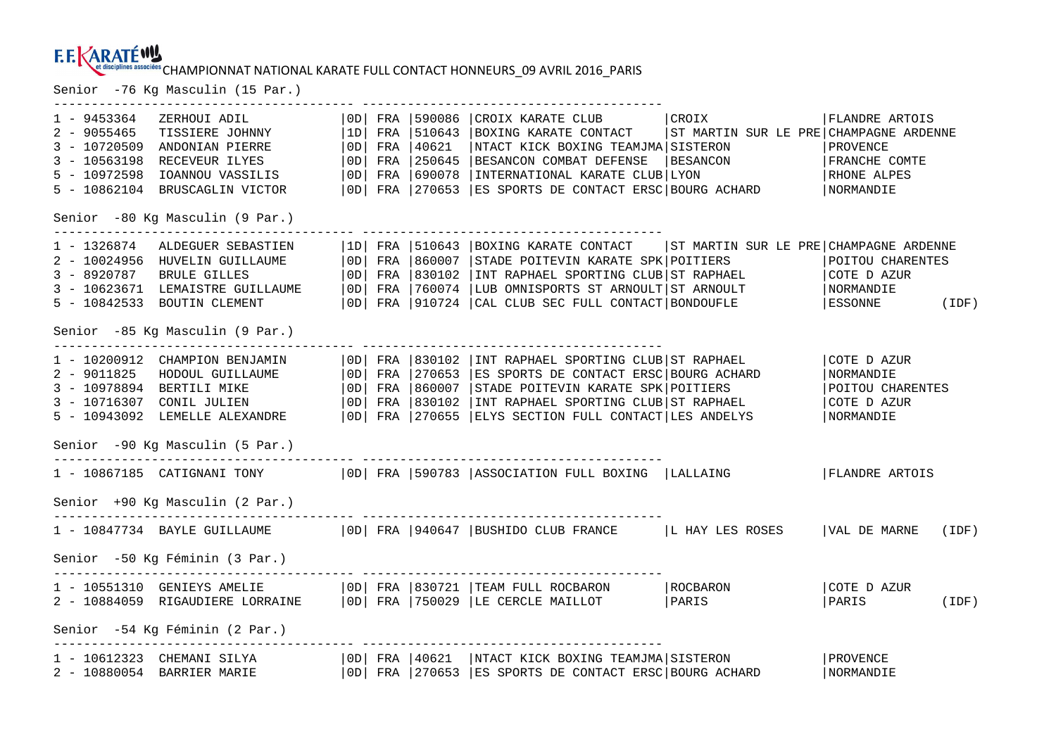## EL DESCRIPIONS ASSOCIES: CHAMPIONNAT NATIONAL KARATE FULL CONTACT HONNEURS\_09 AVRIL 2016\_PARIS<br>Senior -76 Kg Masculin (15 Par.)

|             |                                                                             |  |                      | ---------------------------------                                                                                                                                                              |                       |  |
|-------------|-----------------------------------------------------------------------------|--|----------------------|------------------------------------------------------------------------------------------------------------------------------------------------------------------------------------------------|-----------------------|--|
| 2 - 9055465 | 1 - 9453364 ZERHOUI ADIL<br>TISSIERE JOHNNY<br>3 - 10720509 ANDONIAN PIERRE |  | $ 0D $ FRA $ 40621$  | OD   FRA   590086   CROIX KARATE CLUB   CROIX   FLANDRE ARTOIS<br>  1D   FRA   510643   BOXING KARATE CONTACT   ST MARTIN SUR LE PRE   CHAMPAGNE ARDENNE<br>NTACT KICK BOXING TEAMJMA SISTERON | PROVENCE              |  |
|             | 3 - 10563198 RECEVEUR ILYES                                                 |  |                      | OD FRA 250645 BESANCON COMBAT DEFENSE BESANCON                                                                                                                                                 | FRANCHE COMTE         |  |
|             | 5 - 10972598 IOANNOU VASSILIS                                               |  | $ 0D $ FRA $ 690078$ | INTERNATIONAL KARATE CLUB LYON                                                                                                                                                                 | RHONE ALPES           |  |
|             | 5 - 10862104 BRUSCAGLIN VICTOR                                              |  |                      | OD   FRA   270653   ES SPORTS DE CONTACT ERSC   BOURG ACHARD                                                                                                                                   | NORMANDIE             |  |
|             | Senior -80 Kg Masculin (9 Par.)                                             |  |                      |                                                                                                                                                                                                |                       |  |
|             | 1 - 1326874   ALDEGUER SEBASTIEN                                            |  |                      | $ 1D $ FRA $ 510643 $ BOXING KARATE CONTACT $ ST$ MARTIN SUR LE PRE CHAMPAGNE ARDENNE                                                                                                          |                       |  |
|             | 2 - 10024956 HUVELIN GUILLAUME                                              |  |                      | OD   FRA   860007   STADE POITEVIN KARATE SPK   POITIERS                                                                                                                                       | POITOU CHARENTES      |  |
|             | 3 - 8920787 BRULE GILLES                                                    |  |                      | $ 0D $ FRA $ 830102 $ INT RAPHAEL SPORTING CLUB ST RAPHAEL                                                                                                                                     | COTE D AZUR           |  |
|             | 3 - 10623671 LEMAISTRE GUILLAUME                                            |  |                      | $ 0D $ FRA $ 760074$ $ LUB$ OMNISPORTS ST ARNOULT ST ARNOULT                                                                                                                                   | NORMANDIE             |  |
|             | 5 - 10842533 BOUTIN CLEMENT                                                 |  |                      | OD   FRA   910724   CAL CLUB SEC FULL CONTACT   BONDOUFLE                                                                                                                                      | ESSONNE (IDF)         |  |
|             | Senior -85 Kg Masculin (9 Par.)                                             |  |                      |                                                                                                                                                                                                |                       |  |
|             | 1 - 10200912 CHAMPION BENJAMIN                                              |  |                      | OD   FRA   830102   INT RAPHAEL SPORTING CLUB   ST RAPHAEL                                                                                                                                     | COTE D AZUR           |  |
|             | 2 - 9011825 HODOUL GUILLAUME                                                |  |                      | OD   FRA   270653   ES SPORTS DE CONTACT ERSC   BOURG ACHARD                                                                                                                                   | NORMANDIE             |  |
|             | 3 - 10978894 BERTILI MIKE                                                   |  |                      | OD   FRA   860007   STADE POITEVIN KARATE SPK   POITIERS                                                                                                                                       | POITOU CHARENTES      |  |
|             | 3 - 10716307 CONIL JULIEN                                                   |  |                      | OD   FRA   830102   INT RAPHAEL SPORTING CLUB   ST RAPHAEL                                                                                                                                     | COTE D AZUR           |  |
|             | 5 - 10943092 LEMELLE ALEXANDRE                                              |  |                      | OD   FRA   270655   ELYS SECTION FULL CONTACT   LES ANDELYS                                                                                                                                    | NORMANDIE             |  |
|             | Senior -90 Kg Masculin (5 Par.)                                             |  |                      |                                                                                                                                                                                                |                       |  |
|             |                                                                             |  |                      | 1 - 10867185 CATIGNANI TONY   0D   FRA   590783   ASSOCIATION FULL BOXING   LALLAING                                                                                                           | <b>FLANDRE ARTOIS</b> |  |
|             | Senior +90 Kg Masculin (2 Par.)<br>--------------------------------------   |  |                      |                                                                                                                                                                                                |                       |  |
|             |                                                                             |  |                      | 1 - 10847734 BAYLE GUILLAUME   0D   FRA   940647   BUSHIDO CLUB FRANCE   L HAY LES ROSES   VAL DE MARNE (IDF)                                                                                  |                       |  |
|             | Senior -50 Kg Féminin (3 Par.)                                              |  |                      |                                                                                                                                                                                                |                       |  |
|             |                                                                             |  |                      |                                                                                                                                                                                                | COTE D AZUR           |  |
|             |                                                                             |  |                      |                                                                                                                                                                                                | PARIS (IDF)           |  |
|             | Senior -54 Kg Féminin (2 Par.)                                              |  |                      |                                                                                                                                                                                                |                       |  |
|             | 1 - 10612323 CHEMANI SILYA                                                  |  |                      | OD   FRA   40621   NTACT KICK BOXING TEAMJMA   SISTERON                                                                                                                                        | PROVENCE              |  |
|             | 2 - 10880054 BARRIER MARIE                                                  |  |                      | OD FRA 270653 ES SPORTS DE CONTACT ERSC BOURG ACHARD                                                                                                                                           | NORMANDIE             |  |